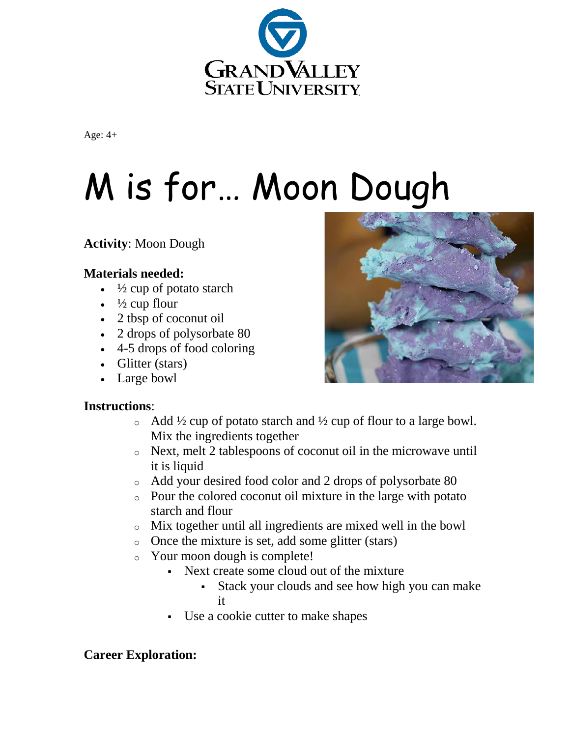

Age: 4+

## M is for… Moon Dough

**Activity**: Moon Dough

## **Materials needed:**

- $\cdot$   $\frac{1}{2}$  cup of potato starch
- $\cdot$   $\frac{1}{2}$  cup flour
- 2 tbsp of coconut oil
- 2 drops of polysorbate 80
- 4-5 drops of food coloring
- Glitter (stars)
- Large bowl

## **Instructions**:

- $\circ$  Add ½ cup of potato starch and ½ cup of flour to a large bowl. Mix the ingredients together
- o Next, melt 2 tablespoons of coconut oil in the microwave until it is liquid
- o Add your desired food color and 2 drops of polysorbate 80
- o Pour the colored coconut oil mixture in the large with potato starch and flour
- o Mix together until all ingredients are mixed well in the bowl
- o Once the mixture is set, add some glitter (stars)
- o Your moon dough is complete!
	- Next create some cloud out of the mixture
		- Stack your clouds and see how high you can make it
	- Use a cookie cutter to make shapes

## **Career Exploration:**